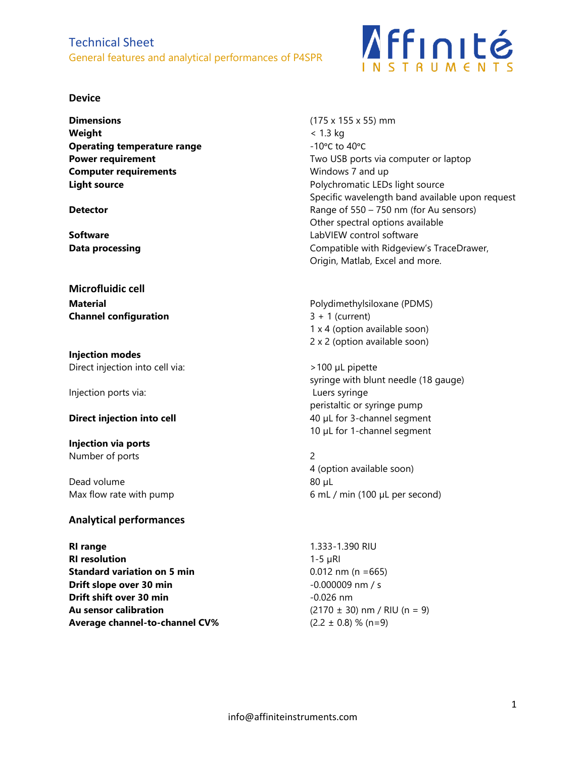# Technical Sheet General features and analytical performances of P4SPR

### **Device**

**Dimensions** (175 x 155 x 55) mm **Weight** < 1.3 kg **Operating temperature range**  $-10^{\circ}$ C to 40<sup>o</sup>C **Computer requirements** Windows 7 and up

**Microfluidic cell Channel configuration** 3 + 1 (current)

**Injection modes** Direct injection into cell via:  $>100 \mu$ L pipette

Injection ports via: Luers syringe

**Injection via ports** Number of ports 2

Dead volume 80 µL

## **Analytical performances**

**RI range** 1.333-1.390 RIU **RI resolution** 1-5 µRI **Standard variation on 5 min** 0.012 nm (n =665) **Drift slope over 30 min**  $-0.000009$  nm / s **Drift shift over 30 min**  $-0.026$  nm **Au sensor calibration** (2170 ± 30) nm / RIU (n = 9) **Average channel-to-channel CV%** (2.2  $\pm$  0.8) % (n=9)



**Power requirement** Two USB ports via computer or laptop **Light source Light source Polychromatic LEDs light source** Specific wavelength band available upon request **Detector Detector** Range of 550 – 750 nm (for Au sensors) Other spectral options available **Software Software LabVIEW** control software **Data processing Data processing Compatible with Ridgeview's TraceDrawer,** Origin, Matlab, Excel and more.

**Material** Polydimethylsiloxane (PDMS) 1 x 4 (option available soon) 2 x 2 (option available soon)

syringe with blunt needle (18 gauge) peristaltic or syringe pump **Direct injection into cell** 40 µL for 3-channel segment 10 µL for 1-channel segment

4 (option available soon) Max flow rate with pump example and the second of matrice of mL / min (100 µL per second)